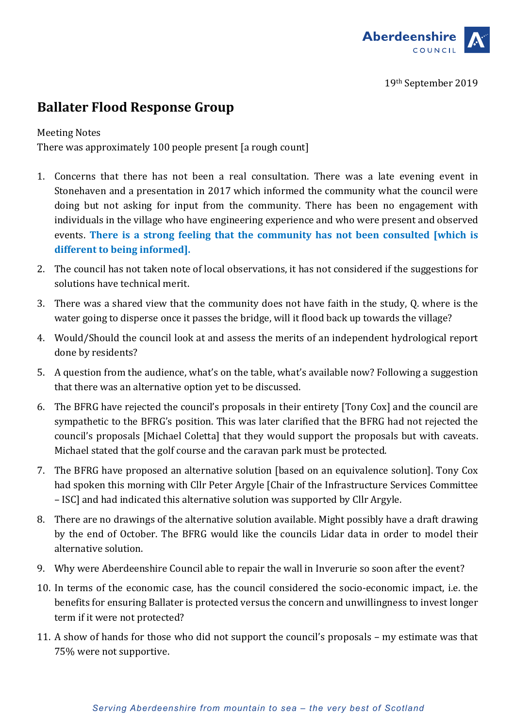

19th September 2019

## **Ballater Flood Response Group**

## **Meeting Notes**

There was approximately 100 people present [a rough count]

- 1. Concerns that there has not been a real consultation. There was a late evening event in Stonehaven and a presentation in 2017 which informed the community what the council were doing but not asking for input from the community. There has been no engagement with individuals in the village who have engineering experience and who were present and observed events. There is a strong feeling that the community has not been consulted [which is different to being informed].
- 2. The council has not taken note of local observations, it has not considered if the suggestions for solutions have technical merit.
- 3. There was a shared view that the community does not have faith in the study, Q. where is the water going to disperse once it passes the bridge, will it flood back up towards the village?
- 4. Would/Should the council look at and assess the merits of an independent hydrological report done by residents?
- 5. A question from the audience, what's on the table, what's available now? Following a suggestion that there was an alternative option yet to be discussed.
- 6. The BFRG have rejected the council's proposals in their entirety [Tony Cox] and the council are sympathetic to the BFRG's position. This was later clarified that the BFRG had not rejected the council's proposals [Michael Coletta] that they would support the proposals but with caveats. Michael stated that the golf course and the caravan park must be protected.
- 7. The BFRG have proposed an alternative solution [based on an equivalence solution]. Tony Cox had spoken this morning with Cllr Peter Argyle [Chair of the Infrastructure Services Committee – ISC] and had indicated this alternative solution was supported by Cllr Argyle.
- 8. There are no drawings of the alternative solution available. Might possibly have a draft drawing by the end of October. The BFRG would like the councils Lidar data in order to model their alternative solution.
- 9. Why were Aberdeenshire Council able to repair the wall in Inverurie so soon after the event?
- 10. In terms of the economic case, has the council considered the socio-economic impact, i.e. the benefits for ensuring Ballater is protected versus the concern and unwillingness to invest longer term if it were not protected?
- 11. A show of hands for those who did not support the council's proposals my estimate was that 75% were not supportive.